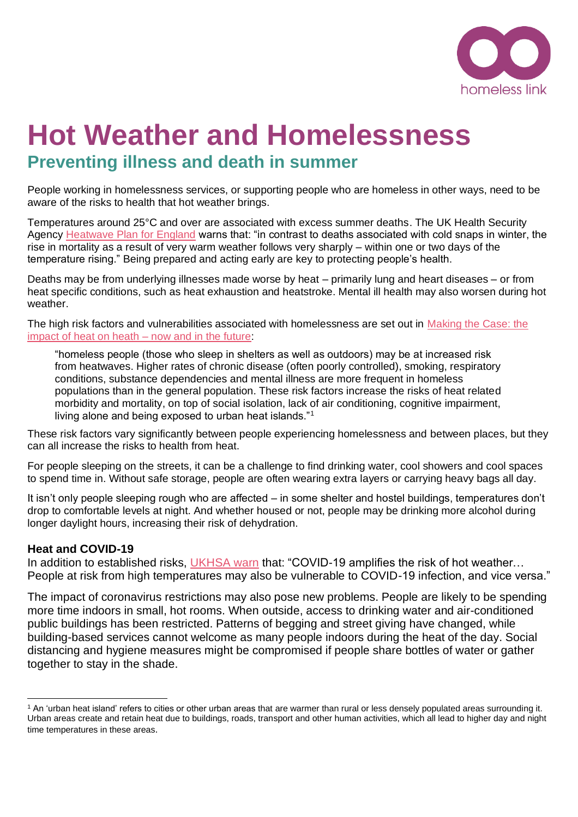

# **Hot Weather and Homelessness Preventing illness and death in summer**

People working in homelessness services, or supporting people who are homeless in other ways, need to be aware of the risks to health that hot weather brings.

Temperatures around 25°C and over are associated with excess summer deaths. The UK Health Security Agency [Heatwave Plan for England](http://www.gov.uk/government/publications/heatwave-plan-for-england) warns that: "in contrast to deaths associated with cold snaps in winter, the rise in mortality as a result of very warm weather follows very sharply – within one or two days of the temperature rising." Being prepared and acting early are key to protecting people's health.

Deaths may be from underlying illnesses made worse by heat – primarily lung and heart diseases – or from heat specific conditions, such as heat exhaustion and heatstroke. Mental ill health may also worsen during hot weather.

The high risk factors and vulnerabilities associated with homelessness are set out in [Making the Case: the](https://webarchive.nationalarchives.gov.uk/ukgwa/20220329201852mp_/https:/assets.publishing.service.gov.uk/government/uploads/system/uploads/attachment_data/file/429572/Heatwave_plan_-Making_the_case_-_2015.pdf)  [impact of heat on heath –](https://webarchive.nationalarchives.gov.uk/ukgwa/20220329201852mp_/https:/assets.publishing.service.gov.uk/government/uploads/system/uploads/attachment_data/file/429572/Heatwave_plan_-Making_the_case_-_2015.pdf) now and in the future:

"homeless people (those who sleep in shelters as well as outdoors) may be at increased risk from heatwaves. Higher rates of chronic disease (often poorly controlled), smoking, respiratory conditions, substance dependencies and mental illness are more frequent in homeless populations than in the general population. These risk factors increase the risks of heat related morbidity and mortality, on top of social isolation, lack of air conditioning, cognitive impairment, living alone and being exposed to urban heat islands."<sup>1</sup>

These risk factors vary significantly between people experiencing homelessness and between places, but they can all increase the risks to health from heat.

For people sleeping on the streets, it can be a challenge to find drinking water, cool showers and cool spaces to spend time in. Without safe storage, people are often wearing extra layers or carrying heavy bags all day.

It isn't only people sleeping rough who are affected – in some shelter and hostel buildings, temperatures don't drop to comfortable levels at night. And whether housed or not, people may be drinking more alcohol during longer daylight hours, increasing their risk of dehydration.

# **Heat and COVID-19**

In addition to established risks, [UKHSA warn](https://www.gov.uk/government/publications/heatwave-plan-for-england/heat-health-risks-and-covid-19-actions-to-prevent-harm) that: "COVID-19 amplifies the risk of hot weather... People at risk from high temperatures may also be vulnerable to COVID-19 infection, and vice versa."

The impact of coronavirus restrictions may also pose new problems. People are likely to be spending more time indoors in small, hot rooms. When outside, access to drinking water and air-conditioned public buildings has been restricted. Patterns of begging and street giving have changed, while building-based services cannot welcome as many people indoors during the heat of the day. Social distancing and hygiene measures might be compromised if people share bottles of water or gather together to stay in the shade.

<sup>&</sup>lt;sup>1</sup> An 'urban heat island' refers to cities or other urban areas that are warmer than rural or less densely populated areas surrounding it. Urban areas create and retain heat due to buildings, roads, transport and other human activities, which all lead to higher day and night time temperatures in these areas.